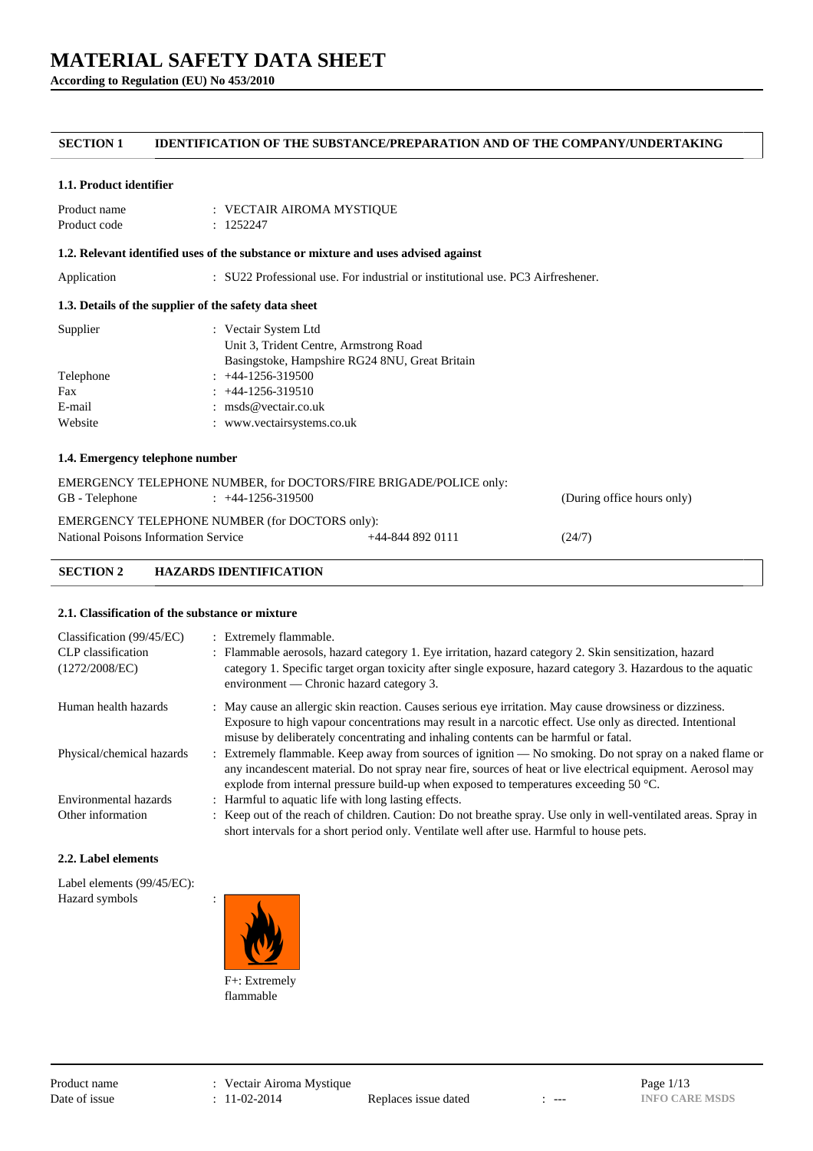**According to Regulation (EU) No 453/2010**

## **SECTION 1 IDENTIFICATION OF THE SUBSTANCE/PREPARATION AND OF THE COMPANY/UNDERTAKING**

#### **1.1. Product identifier**

| Product name | : VECTAIR AIROMA MYSTIQUE |
|--------------|---------------------------|
| Product code | : 1252247                 |

### **1.2. Relevant identified uses of the substance or mixture and uses advised against**

Application : SU22 Professional use. For industrial or institutional use. PC3 Airfreshener.

### **1.3. Details of the supplier of the safety data sheet**

| Supplier  | : Vectair System Ltd                           |
|-----------|------------------------------------------------|
|           | Unit 3, Trident Centre, Armstrong Road         |
|           | Basingstoke, Hampshire RG24 8NU, Great Britain |
| Telephone | $: +44-1256-319500$                            |
| Fax       | $: +44-1256-319510$                            |
| E-mail    | : $\text{msds@vector}$ .                       |
| Website   | : www.vectairsystems.co.uk                     |
|           |                                                |

## **1.4. Emergency telephone number**

| EMERGENCY TELEPHONE NUMBER, for DOCTORS/FIRE BRIGADE/POLICE only:<br>GB - Telephone    | $\div$ +44-1256-319500 |                      | (During office hours only) |
|----------------------------------------------------------------------------------------|------------------------|----------------------|----------------------------|
| EMERGENCY TELEPHONE NUMBER (for DOCTORS only):<br>National Poisons Information Service |                        | $+44 - 844$ 892 0111 | (24/7)                     |
|                                                                                        |                        |                      |                            |

## **SECTION 2 HAZARDS IDENTIFICATION**

#### **2.1. Classification of the substance or mixture**

| Classification $(99/45/EC)$<br>CLP classification<br>(1272/2008/EC) | : Extremely flammable.<br>: Flammable aerosols, hazard category 1. Eye irritation, hazard category 2. Skin sensitization, hazard<br>category 1. Specific target organ toxicity after single exposure, hazard category 3. Hazardous to the aquatic<br>environment — Chronic hazard category 3.                               |
|---------------------------------------------------------------------|-----------------------------------------------------------------------------------------------------------------------------------------------------------------------------------------------------------------------------------------------------------------------------------------------------------------------------|
| Human health hazards                                                | : May cause an allergic skin reaction. Causes serious eye irritation. May cause drowsiness or dizziness.<br>Exposure to high vapour concentrations may result in a narcotic effect. Use only as directed. Intentional                                                                                                       |
|                                                                     | misuse by deliberately concentrating and inhaling contents can be harmful or fatal.                                                                                                                                                                                                                                         |
| Physical/chemical hazards                                           | : Extremely flammable. Keep away from sources of ignition — No smoking. Do not spray on a naked flame or<br>any incandescent material. Do not spray near fire, sources of heat or live electrical equipment. Aerosol may<br>explode from internal pressure build-up when exposed to temperatures exceeding 50 $^{\circ}$ C. |
| Environmental hazards                                               | : Harmful to aquatic life with long lasting effects.                                                                                                                                                                                                                                                                        |
| Other information                                                   | : Keep out of the reach of children. Caution: Do not breathe spray. Use only in well-ventilated areas. Spray in<br>short intervals for a short period only. Ventilate well after use. Harmful to house pets.                                                                                                                |

#### **2.2. Label elements**

Label elements (99/45/EC): Hazard symbols :

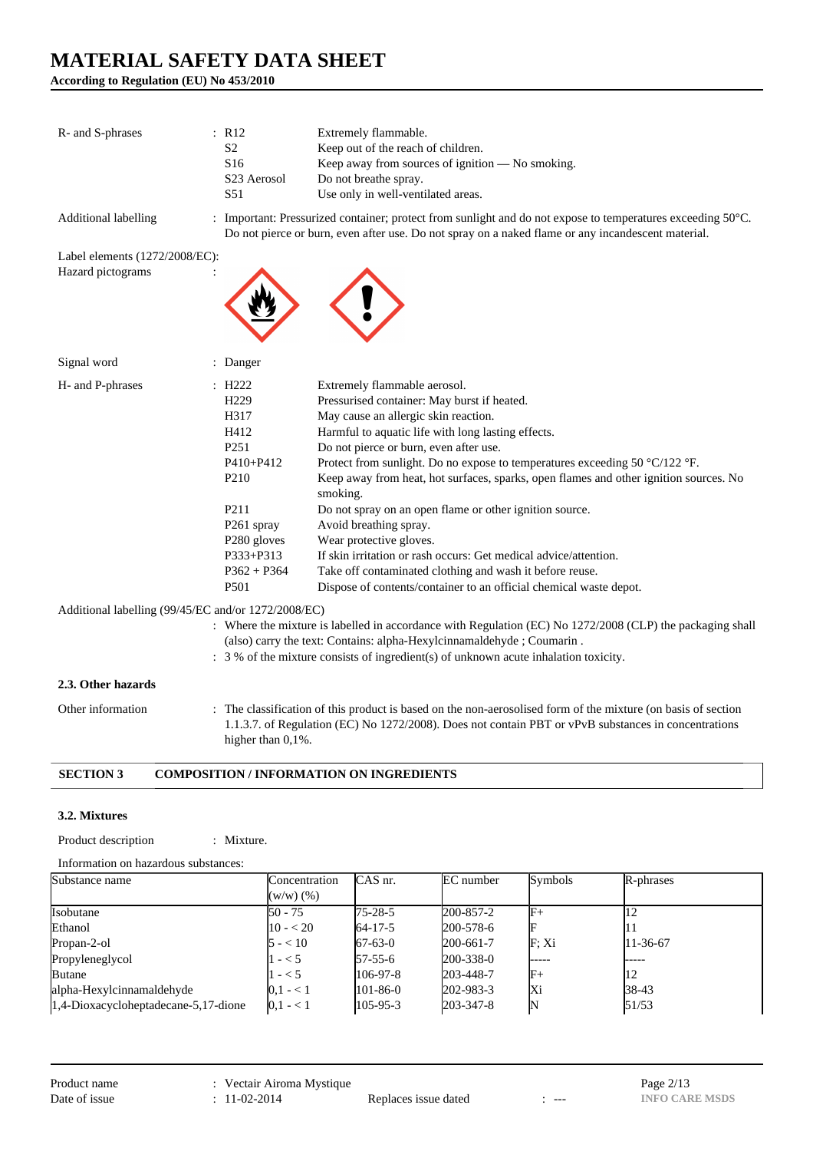**According to Regulation (EU) No 453/2010**

| R- and S-phrases                                    | : R12<br>S <sub>2</sub><br>S <sub>16</sub><br>S <sub>23</sub> Aerosol<br>S <sub>51</sub>                                                                                                                       | Extremely flammable.<br>Keep out of the reach of children.<br>Keep away from sources of ignition - No smoking.<br>Do not breathe spray.<br>Use only in well-ventilated areas.                                                                                                                                                                                                                                                                                                                                                                                                                                                                                                                                                                     |
|-----------------------------------------------------|----------------------------------------------------------------------------------------------------------------------------------------------------------------------------------------------------------------|---------------------------------------------------------------------------------------------------------------------------------------------------------------------------------------------------------------------------------------------------------------------------------------------------------------------------------------------------------------------------------------------------------------------------------------------------------------------------------------------------------------------------------------------------------------------------------------------------------------------------------------------------------------------------------------------------------------------------------------------------|
| Additional labelling                                |                                                                                                                                                                                                                | : Important: Pressurized container; protect from sunlight and do not expose to temperatures exceeding 50°C.<br>Do not pierce or burn, even after use. Do not spray on a naked flame or any incandescent material.                                                                                                                                                                                                                                                                                                                                                                                                                                                                                                                                 |
| Label elements (1272/2008/EC):<br>Hazard pictograms |                                                                                                                                                                                                                |                                                                                                                                                                                                                                                                                                                                                                                                                                                                                                                                                                                                                                                                                                                                                   |
| Signal word                                         | : Danger                                                                                                                                                                                                       |                                                                                                                                                                                                                                                                                                                                                                                                                                                                                                                                                                                                                                                                                                                                                   |
| H- and P-phrases                                    | $\therefore$ H222<br>H <sub>229</sub><br>H317<br>H412<br>P <sub>251</sub><br>P410+P412<br>P <sub>210</sub><br>P <sub>2</sub> 11<br>P261 spray<br>P280 gloves<br>P333+P313<br>$P362 + P364$<br>P <sub>501</sub> | Extremely flammable aerosol.<br>Pressurised container: May burst if heated.<br>May cause an allergic skin reaction.<br>Harmful to aquatic life with long lasting effects.<br>Do not pierce or burn, even after use.<br>Protect from sunlight. Do no expose to temperatures exceeding 50 $^{\circ}$ C/122 $^{\circ}$ F.<br>Keep away from heat, hot surfaces, sparks, open flames and other ignition sources. No<br>smoking.<br>Do not spray on an open flame or other ignition source.<br>Avoid breathing spray.<br>Wear protective gloves.<br>If skin irritation or rash occurs: Get medical advice/attention.<br>Take off contaminated clothing and wash it before reuse.<br>Dispose of contents/container to an official chemical waste depot. |
| Additional labelling (99/45/EC and/or 1272/2008/EC) |                                                                                                                                                                                                                | : Where the mixture is labelled in accordance with Regulation (EC) No 1272/2008 (CLP) the packaging shall                                                                                                                                                                                                                                                                                                                                                                                                                                                                                                                                                                                                                                         |
|                                                     |                                                                                                                                                                                                                |                                                                                                                                                                                                                                                                                                                                                                                                                                                                                                                                                                                                                                                                                                                                                   |

(also) carry the text: Contains: alpha-Hexylcinnamaldehyde ; Coumarin .

## : 3 % of the mixture consists of ingredient(s) of unknown acute inhalation toxicity.

## **2.3. Other hazards**

Other information : The classification of this product is based on the non-aerosolised form of the mixture (on basis of section 1.1.3.7. of Regulation (EC) No 1272/2008). Does not contain PBT or vPvB substances in concentrations higher than  $0,1%$ .

#### **SECTION 3 COMPOSITION / INFORMATION ON INGREDIENTS**

#### **3.2. Mixtures**

Product description : Mixture.

Information on hazardous substances:

| Substance name                       | Concentration<br>$(w/w)$ $(\%)$ | CAS nr.        | EC number       | Symbols           | R-phrases |
|--------------------------------------|---------------------------------|----------------|-----------------|-------------------|-----------|
| Isobutane                            | $150 - 75$                      | $175 - 28 - 5$ | 200-857-2       | IF+               |           |
| Ethanol                              | $10 - 20$                       | $64 - 17 - 5$  | 200-578-6       |                   |           |
| Propan-2-ol                          | $5 - 10$                        | $67-63-0$      | 200-661-7       | F: X <sub>i</sub> | 11-36-67  |
| Propyleneglycol                      | $-$ < 5                         | $57-55-6$      | $200 - 338 - 0$ | -----             | _____     |
| <b>Butane</b>                        | $-$ < 5                         | $106-97-8$     | 203-448-7       | $\mathbb{F}_+$    | 12        |
| alpha-Hexylcinnamaldehyde            | $0.1 - 1$                       | $101-86-0$     | $202 - 983 - 3$ | Хi                | 38-43     |
| 1,4-Dioxacycloheptadecane-5,17-dione | $0,1 - 1$                       | $105 - 95 - 3$ | 203-347-8       |                   | 51/53     |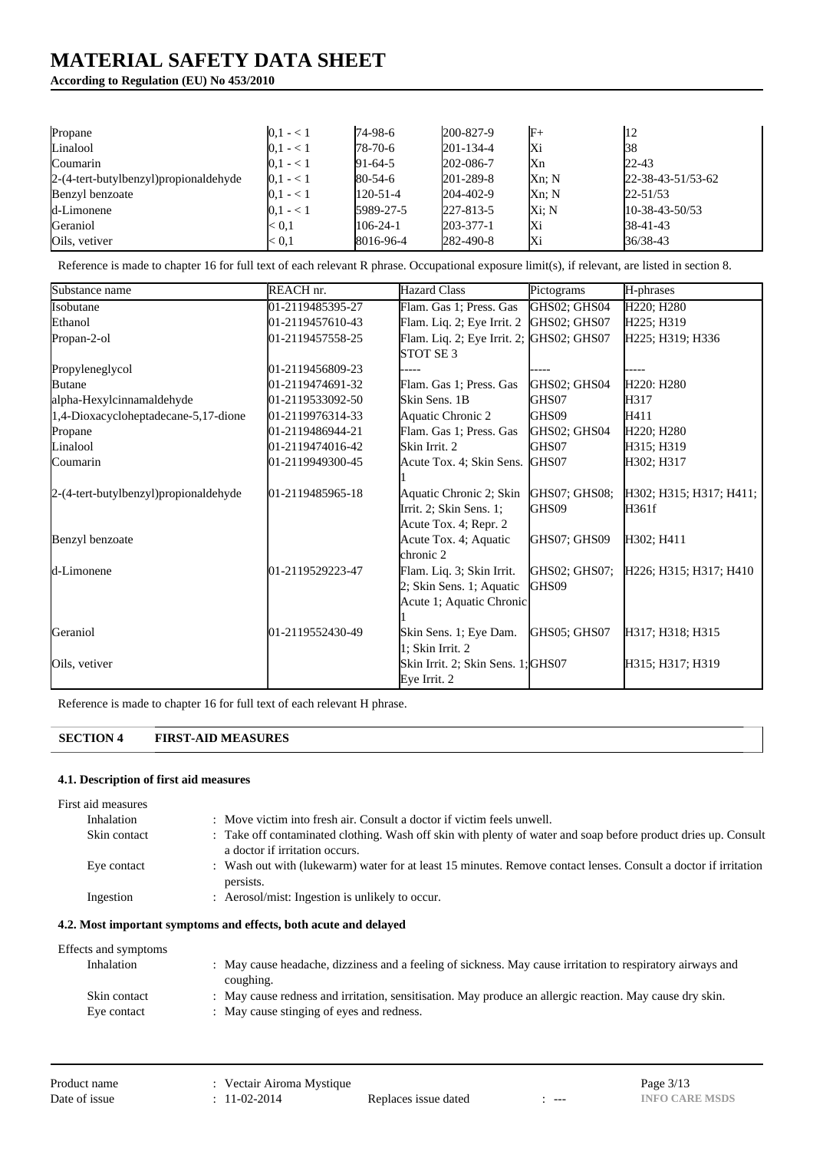## **According to Regulation (EU) No 453/2010**

| Propane                               | $0,1 - 1$ | 74-98-6        | 200-827-9       | $\mathbb{F}^+$ | 12                          |
|---------------------------------------|-----------|----------------|-----------------|----------------|-----------------------------|
| Linalool                              | $0.1 - 1$ | $78-70-6$      | $201 - 134 - 4$ | lХi            | 138                         |
| Coumarin                              | $0,1 - 1$ | $91-64-5$      | 202-086-7       | Κn             | 22-43                       |
| 2-(4-tert-butylbenzyl)propionaldehyde | $0,1 - 1$ | $80 - 54 - 6$  | 201-289-8       | $Xn$ ; N       | $22 - 38 - 43 - 51/53 - 62$ |
| Benzyl benzoate                       | $0,1 - 1$ | $120 - 51 - 4$ | 204-402-9       | $Xn$ ; N       | $22 - 51/53$                |
| d-Limonene                            | $0.1 - 1$ | 5989-27-5      | 227-813-5       | Xi: N          | $10-38-43-50/53$            |
| Geraniol                              | < 0.1     | $106 - 24 - 1$ | $203 - 377 - 1$ | Жi             | 38-41-43                    |
| Oils, vetiver                         | < 0.1     | 8016-96-4      | 282-490-8       | lХi            | 36/38-43                    |

Reference is made to chapter 16 for full text of each relevant R phrase. Occupational exposure limit(s), if relevant, are listed in section 8.

| Substance name                        | REACH nr.        | <b>Hazard Class</b>                      | Pictograms    | H-phrases                           |
|---------------------------------------|------------------|------------------------------------------|---------------|-------------------------------------|
| Isobutane                             | 01-2119485395-27 | Flam. Gas 1; Press. Gas                  | GHS02; GHS04  | H220; H280                          |
| Ethanol                               | 01-2119457610-43 | Flam. Liq. 2; Eye Irrit. 2               | GHS02; GHS07  | H225; H319                          |
| Propan-2-ol                           | 01-2119457558-25 | Flam. Liq. 2; Eye Irrit. 2; GHS02; GHS07 |               | H225; H319; H336                    |
|                                       |                  | STOT SE <sub>3</sub>                     |               |                                     |
| Propyleneglycol                       | 01-2119456809-23 |                                          |               |                                     |
| <b>Butane</b>                         | 01-2119474691-32 | Flam. Gas 1; Press. Gas                  | GHS02; GHS04  | H <sub>220</sub> : H <sub>280</sub> |
| alpha-Hexylcinnamaldehyde             | 01-2119533092-50 | Skin Sens. 1B                            | GHS07         | H317                                |
| 1,4-Dioxacycloheptadecane-5,17-dione  | 01-2119976314-33 | Aquatic Chronic 2                        | GHS09         | H411                                |
| Propane                               | 01-2119486944-21 | Flam. Gas 1; Press. Gas                  | GHS02; GHS04  | H <sub>220</sub> ; H <sub>280</sub> |
| Linalool                              | 01-2119474016-42 | Skin Irrit. 2                            | GHS07         | H315; H319                          |
| Coumarin                              | 01-2119949300-45 | Acute Tox. 4; Skin Sens. GHS07           |               | H302; H317                          |
|                                       |                  |                                          |               |                                     |
| 2-(4-tert-butylbenzyl)propionaldehyde | 01-2119485965-18 | Aquatic Chronic 2; Skin                  | GHS07; GHS08; | H302; H315; H317; H411;             |
|                                       |                  | Irrit. 2; Skin Sens. 1;                  | GHS09         | H361f                               |
|                                       |                  | Acute Tox. 4; Repr. 2                    |               |                                     |
| Benzyl benzoate                       |                  | Acute Tox. 4; Aquatic                    | GHS07; GHS09  | H302; H411                          |
|                                       |                  | chronic 2                                |               |                                     |
| d-Limonene                            | 01-2119529223-47 | Flam. Liq. 3; Skin Irrit.                | GHS02; GHS07; | H226; H315; H317; H410              |
|                                       |                  | 2; Skin Sens. 1; Aquatic                 | GHS09         |                                     |
|                                       |                  | Acute 1; Aquatic Chronic                 |               |                                     |
|                                       |                  |                                          |               |                                     |
| Geraniol                              | 01-2119552430-49 | Skin Sens. 1; Eye Dam.                   | GHS05; GHS07  | H317; H318; H315                    |
|                                       |                  | 1; Skin Irrit. 2                         |               |                                     |
| Oils, vetiver                         |                  | Skin Irrit. 2; Skin Sens. 1; GHS07       |               | H315; H317; H319                    |
|                                       |                  | Eye Irrit. 2                             |               |                                     |

Reference is made to chapter 16 for full text of each relevant H phrase.

## **SECTION 4 FIRST-AID MEASURES**

### **4.1. Description of first aid measures**

| First aid measures |                                                                                                                                                  |
|--------------------|--------------------------------------------------------------------------------------------------------------------------------------------------|
| Inhalation         | : Move victim into fresh air. Consult a doctor if victim feels unwell.                                                                           |
| Skin contact       | : Take off contaminated clothing. Wash off skin with plenty of water and soap before product dries up. Consult<br>a doctor if irritation occurs. |
| Eye contact        | : Wash out with (lukewarm) water for at least 15 minutes. Remove contact lenses. Consult a doctor if irritation<br>persists.                     |
| Ingestion          | : Aerosol/mist: Ingestion is unlikely to occur.                                                                                                  |

### **4.2. Most important symptoms and effects, both acute and delayed**

| Effects and symptoms |                                                                                                            |
|----------------------|------------------------------------------------------------------------------------------------------------|
| Inhalation           | : May cause headache, dizziness and a feeling of sickness. May cause irritation to respiratory airways and |
|                      | coughing.                                                                                                  |
| Skin contact         | : May cause redness and irritation, sensitisation. May produce an allergic reaction. May cause dry skin.   |
| Eye contact          | : May cause stinging of eyes and redness.                                                                  |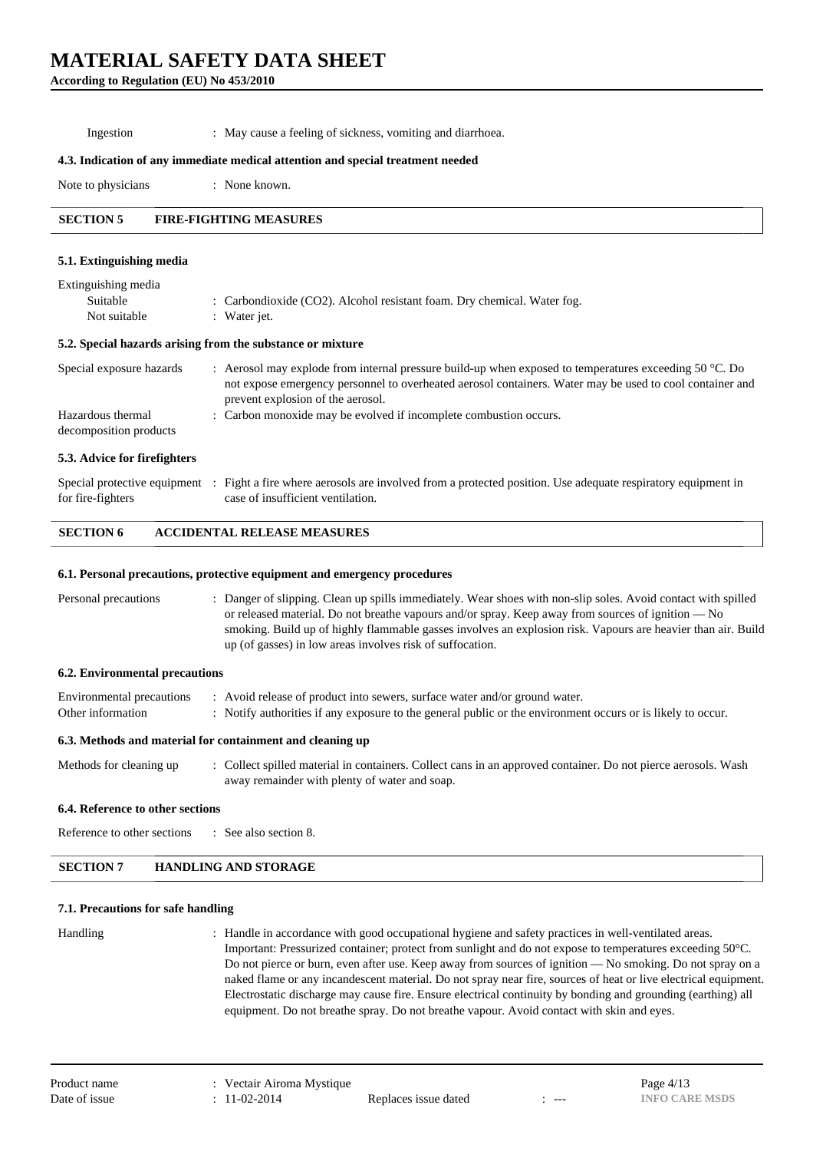**According to Regulation (EU) No 453/2010**

Ingestion : May cause a feeling of sickness, vomiting and diarrhoea.

#### **4.3. Indication of any immediate medical attention and special treatment needed**

Note to physicians : None known.

## **SECTION 5 FIRE-FIGHTING MEASURES**

#### **5.1. Extinguishing media**

| Extinguishing media<br>Suitable<br>Not suitable | : Carbondioxide (CO2). Alcohol resistant foam. Dry chemical. Water fog.<br>: Water jet.                                                                                                                                                                          |
|-------------------------------------------------|------------------------------------------------------------------------------------------------------------------------------------------------------------------------------------------------------------------------------------------------------------------|
|                                                 | 5.2. Special hazards arising from the substance or mixture                                                                                                                                                                                                       |
| Special exposure hazards                        | : Aerosol may explode from internal pressure build-up when exposed to temperatures exceeding 50 $\degree$ C. Do<br>not expose emergency personnel to overheated aerosol containers. Water may be used to cool container and<br>prevent explosion of the aerosol. |
| Hazardous thermal                               | : Carbon monoxide may be evolved if incomplete combustion occurs.                                                                                                                                                                                                |

decomposition products

#### **5.3. Advice for firefighters**

|                   | Special protective equipment : Fight a fire where aerosols are involved from a protected position. Use adequate respiratory equipment in |
|-------------------|------------------------------------------------------------------------------------------------------------------------------------------|
| for fire-fighters | case of insufficient ventilation.                                                                                                        |

#### **SECTION 6 ACCIDENTAL RELEASE MEASURES**

#### **6.1. Personal precautions, protective equipment and emergency procedures**

| Personal precautions | . Danger of slipping. Clean up spills immediately. Wear shoes with non-slip soles. Avoid contact with spilled |
|----------------------|---------------------------------------------------------------------------------------------------------------|
|                      | or released material. Do not breathe vapours and/or spray. Keep away from sources of ignition — No            |
|                      | smoking. Build up of highly flammable gasses involves an explosion risk. Vapours are heavier than air. Build  |
|                      | up (of gasses) in low areas involves risk of suffocation.                                                     |

#### **6.2. Environmental precautions**

|                   | Environmental precautions : Avoid release of product into sewers, surface water and/or ground water.        |
|-------------------|-------------------------------------------------------------------------------------------------------------|
| Other information | : Notify authorities if any exposure to the general public or the environment occurs or is likely to occur. |

#### **6.3. Methods and material for containment and cleaning up**

Methods for cleaning up : Collect spilled material in containers. Collect cans in an approved container. Do not pierce aerosols. Wash away remainder with plenty of water and soap.

#### **6.4. Reference to other sections**

Reference to other sections : See also section 8.

#### **SECTION 7 HANDLING AND STORAGE**

#### **7.1. Precautions for safe handling**

Handling : Handle in accordance with good occupational hygiene and safety practices in well-ventilated areas. Important: Pressurized container; protect from sunlight and do not expose to temperatures exceeding 50°C. Do not pierce or burn, even after use. Keep away from sources of ignition — No smoking. Do not spray on a naked flame or any incandescent material. Do not spray near fire, sources of heat or live electrical equipment. Electrostatic discharge may cause fire. Ensure electrical continuity by bonding and grounding (earthing) all equipment. Do not breathe spray. Do not breathe vapour. Avoid contact with skin and eyes.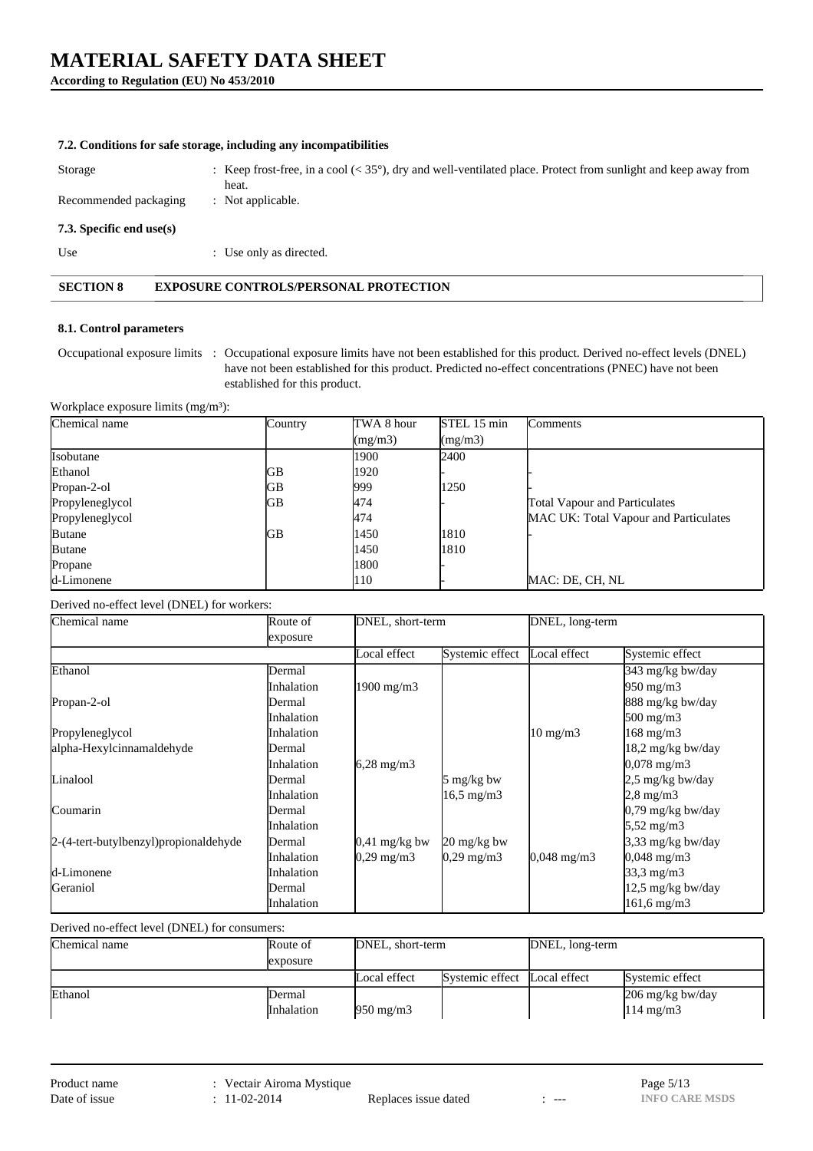## **According to Regulation (EU) No 453/2010**

|                          | 7.2. Conditions for safe storage, including any incompatibilities                                                               |
|--------------------------|---------------------------------------------------------------------------------------------------------------------------------|
| Storage                  | : Keep frost-free, in a cool $(<35^{\circ})$ , dry and well-ventilated place. Protect from sunlight and keep away from<br>heat. |
| Recommended packaging    | : Not applicable.                                                                                                               |
| 7.3. Specific end use(s) |                                                                                                                                 |
| Use                      | : Use only as directed.                                                                                                         |
| <b>SECTION 8</b>         | <b>EXPOSURE CONTROLS/PERSONAL PROTECTION</b>                                                                                    |

### **8.1. Control parameters**

Occupational exposure limits : Occupational exposure limits have not been established for this product. Derived no-effect levels (DNEL) have not been established for this product. Predicted no-effect concentrations (PNEC) have not been established for this product.

Workplace exposure limits  $(mg/m<sup>3</sup>)$ :

| Chemical name   | Country | TWA 8 hour | STEL 15 min | <b>Comments</b>                       |
|-----------------|---------|------------|-------------|---------------------------------------|
|                 |         | (mg/m3)    | (mg/m3)     |                                       |
| Isobutane       |         | 1900       | 2400        |                                       |
| Ethanol         | GB      | 1920       |             |                                       |
| Propan-2-ol     | GB      | 999        | 1250        |                                       |
| Propyleneglycol | GB      | 474        |             | <b>Total Vapour and Particulates</b>  |
| Propyleneglycol |         | 474        |             | MAC UK: Total Vapour and Particulates |
| <b>Butane</b>   | GB      | 1450       | 1810        |                                       |
| <b>Butane</b>   |         | 1450       | 1810        |                                       |
| Propane         |         | 1800       |             |                                       |
| d-Limonene      |         | 110        |             | MAC: DE, CH, NL                       |

Derived no-effect level (DNEL) for workers:

| Chemical name<br>Route of               |                   | DNEL, short-term      |                       | DNEL, long-term        |                             |
|-----------------------------------------|-------------------|-----------------------|-----------------------|------------------------|-----------------------------|
|                                         | exposure          |                       |                       |                        |                             |
|                                         |                   | Local effect          | Systemic effect       | Local effect           | Systemic effect             |
| Ethanol                                 | Dermal            |                       |                       |                        | 343 mg/kg bw/day            |
|                                         | <i>Inhalation</i> | $1900 \text{ mg/m}$   |                       |                        | $950 \text{ mg/m}$          |
| Propan-2-ol                             | Dermal            |                       |                       |                        | 888 mg/kg bw/day            |
|                                         | Inhalation        |                       |                       |                        | $500 \text{ mg/m}$          |
| Propyleneglycol                         | Inhalation        |                       |                       | $10 \text{ mg/m}$      | 168 mg/m3                   |
| alpha-Hexylcinnamaldehyde               | Dermal            |                       |                       |                        | 18,2 mg/kg bw/day           |
|                                         | Inhalation        | $6,28 \text{ mg/m}$   |                       |                        | $0,078 \text{ mg/m}$ 3      |
| Linalool                                | Dermal            |                       | 5 mg/kg bw            |                        | 2,5 mg/kg bw/day            |
|                                         | Inhalation        |                       | $16,5 \text{ mg/m}$ 3 |                        | $2,8$ mg/m $3$              |
| Coumarin                                | Dermal            |                       |                       |                        | $0,79 \text{ mg/kg}$ bw/day |
|                                         | Inhalation        |                       |                       |                        | $5,52 \text{ mg/m}$ 3       |
| 2-(4-tert-butylbenzyl) propional dehyde | Dermal            | $0.41$ mg/kg bw       | 20 mg/kg bw           |                        | 3,33 mg/kg bw/day           |
|                                         | <b>Inhalation</b> | $0,29 \text{ mg/m}$ 3 | $0,29 \text{ mg/m}$ 3 | $0,048 \text{ mg/m}$ 3 | $0,048 \text{ mg/m}$ 3      |
| d-Limonene                              | Inhalation        |                       |                       |                        | $33,3 \text{ mg/m}$         |
| Geraniol                                | Dermal            |                       |                       |                        | 12,5 mg/kg bw/day           |
|                                         | Inhalation        |                       |                       |                        | 161,6 mg/m3                 |

Derived no-effect level (DNEL) for consumers:

| Chemical name | Route of                     | DNEL, short-term   |                              | DNEL, long-term |                                                                |
|---------------|------------------------------|--------------------|------------------------------|-----------------|----------------------------------------------------------------|
|               | exposure                     |                    |                              |                 |                                                                |
|               |                              | Local effect       | Systemic effect Local effect |                 | Systemic effect                                                |
| Ethanol       | lDermal<br><b>Inhalation</b> | $950 \text{ mg/m}$ |                              |                 | $206 \frac{\text{mg}}{\text{kg}}$ bw/day<br>$114 \text{ mg/m}$ |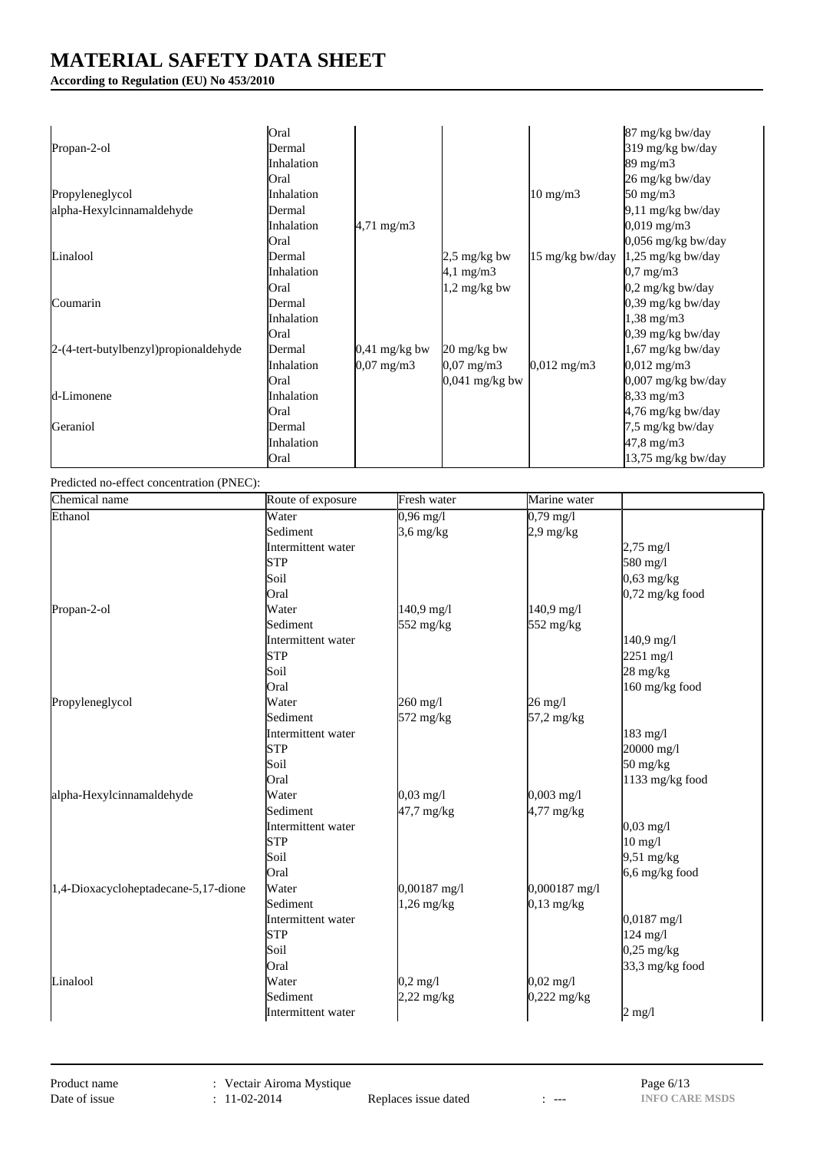## **According to Regulation (EU) No 453/2010**

|                                       | Oral        |                         |                                     |                        | 87 mg/kg bw/day             |
|---------------------------------------|-------------|-------------------------|-------------------------------------|------------------------|-----------------------------|
| Propan-2-ol                           | Dermal      |                         |                                     |                        | 319 mg/kg bw/day            |
|                                       | Inhalation  |                         |                                     |                        | $89 \text{ mg/m}$           |
|                                       | <b>Oral</b> |                         |                                     |                        | 26 mg/kg bw/day             |
| Propyleneglycol                       | Inhalation  |                         |                                     | $10 \text{ mg/m}$      | $50 \text{ mg/m}$ 3         |
| alpha-Hexylcinnamaldehyde             | Dermal      |                         |                                     |                        | 9,11 mg/kg bw/day           |
|                                       | Inhalation  | $4,71 \text{ mg/m}$ 3   |                                     |                        | $0,019 \text{ mg/m}$ 3      |
|                                       | <b>Oral</b> |                         |                                     |                        | $0.056$ mg/kg bw/day        |
| Linalool                              | Dermal      |                         | $2.5 \text{ mg/kg}$ bw              | 15 mg/kg bw/day        | $1,25 \text{ mg/kg}$ bw/day |
|                                       | Inhalation  |                         | $4,1 \text{ mg/m}$ 3                |                        | $0.7 \text{ mg/m}$ 3        |
|                                       | <b>Oral</b> |                         | $1,2 \text{ mg/kg}$ bw              |                        | $0,2$ mg/kg bw/day          |
| Coumarin                              | Dermal      |                         |                                     |                        | $0,39$ mg/kg bw/day         |
|                                       | Inhalation  |                         |                                     |                        | $1,38$ mg/m $3$             |
|                                       | <b>Oral</b> |                         |                                     |                        | 0,39 mg/kg bw/day           |
| 2-(4-tert-butylbenzyl)propionaldehyde | Dermal      | $0.41 \text{ mg/kg}$ bw | $20 \frac{\text{mg}}{\text{kg}}$ bw |                        | $1,67$ mg/kg bw/day         |
|                                       | Inhalation  | $0,07 \text{ mg/m}$ 3   | $0,07 \text{ mg/m}$ 3               | $0,012 \text{ mg/m}$ 3 | $0,012 \text{ mg/m}$        |
|                                       | Oral        |                         | $0,041$ mg/kg bw                    |                        | 0,007 mg/kg bw/day          |
| d-Limonene                            | Inhalation  |                         |                                     |                        | $8,33 \text{ mg/m}$         |
|                                       | Oral        |                         |                                     |                        | 4,76 mg/kg bw/day           |
| Geraniol                              | Dermal      |                         |                                     |                        | 7,5 mg/kg bw/day            |
|                                       | Inhalation  |                         |                                     |                        | $47,8 \text{ mg/m}$ 3       |
|                                       | Oral        |                         |                                     |                        | 13,75 mg/kg bw/day          |

Predicted no-effect concentration (PNEC):

| Chemical name                        | Route of exposure  | Fresh water         | Marine water        |                                  |
|--------------------------------------|--------------------|---------------------|---------------------|----------------------------------|
| Ethanol                              | Water              | $0,96 \text{ mg}/1$ | $0,79 \text{ mg}/1$ |                                  |
|                                      | Sediment           | $3,6$ mg/kg         | $2.9 \text{ mg/kg}$ |                                  |
|                                      | Intermittent water |                     |                     | $2,75 \text{ mg}/1$              |
|                                      | STP                |                     |                     | 580 mg/l                         |
|                                      | Soil               |                     |                     | $0,63$ mg/kg                     |
|                                      | Oral               |                     |                     | $0,72$ mg/kg food                |
| Propan-2-ol                          | Water              | $140,9$ mg/l        | 140,9 mg/l          |                                  |
|                                      | Sediment           | 552 mg/kg           | 552 mg/kg           |                                  |
|                                      | Intermittent water |                     |                     | 140,9 mg/l                       |
|                                      | <b>STP</b>         |                     |                     | $2251 \text{ mg}/1$              |
|                                      | Soil               |                     |                     | $28 \text{ mg/kg}$               |
|                                      | Oral               |                     |                     | 160 mg/kg food                   |
| Propyleneglycol                      | Water              | 260 mg/l            | $26 \text{ mg}/l$   |                                  |
|                                      | Sediment           | 572 mg/kg           | 57,2 mg/kg          |                                  |
|                                      | Intermittent water |                     |                     | 183 mg/l                         |
|                                      | STP                |                     |                     | 20000 mg/l                       |
|                                      | Soil               |                     |                     | $50 \frac{\text{mg}}{\text{kg}}$ |
|                                      | Oral               |                     |                     | 1133 mg/kg food                  |
| alpha-Hexylcinnamaldehyde            | Water              | $0,03 \text{ mg}/1$ | $0,003$ mg/l        |                                  |
|                                      | Sediment           | 47,7 mg/kg          | $4,77$ mg/kg        |                                  |
|                                      | Intermittent water |                     |                     | $0,03 \text{ mg}/1$              |
|                                      | <b>STP</b>         |                     |                     | $10$ mg/l                        |
|                                      | Soil               |                     |                     | $9,51 \text{ mg/kg}$             |
|                                      | Oral               |                     |                     | $6,6$ mg/kg food                 |
| 1,4-Dioxacycloheptadecane-5,17-dione | Water              | 0,00187 mg/l        | 0,000187 mg/l       |                                  |
|                                      | Sediment           | $1,26$ mg/kg        | $0,13$ mg/kg        |                                  |
|                                      | Intermittent water |                     |                     | $0,0187$ mg/l                    |
|                                      | STP                |                     |                     | $124$ mg/l                       |
|                                      | Soil               |                     |                     | $0,25$ mg/kg                     |
|                                      | Oral               |                     |                     | 33,3 mg/kg food                  |
| Linalool                             | Water              | $0,2 \text{ mg}/l$  | $0,02 \text{ mg}/1$ |                                  |
|                                      | Sediment           | $2,22$ mg/kg        | $0,222$ mg/kg       |                                  |
|                                      | Intermittent water |                     |                     | $2 \text{ mg}/1$                 |

Replaces issue dated : ---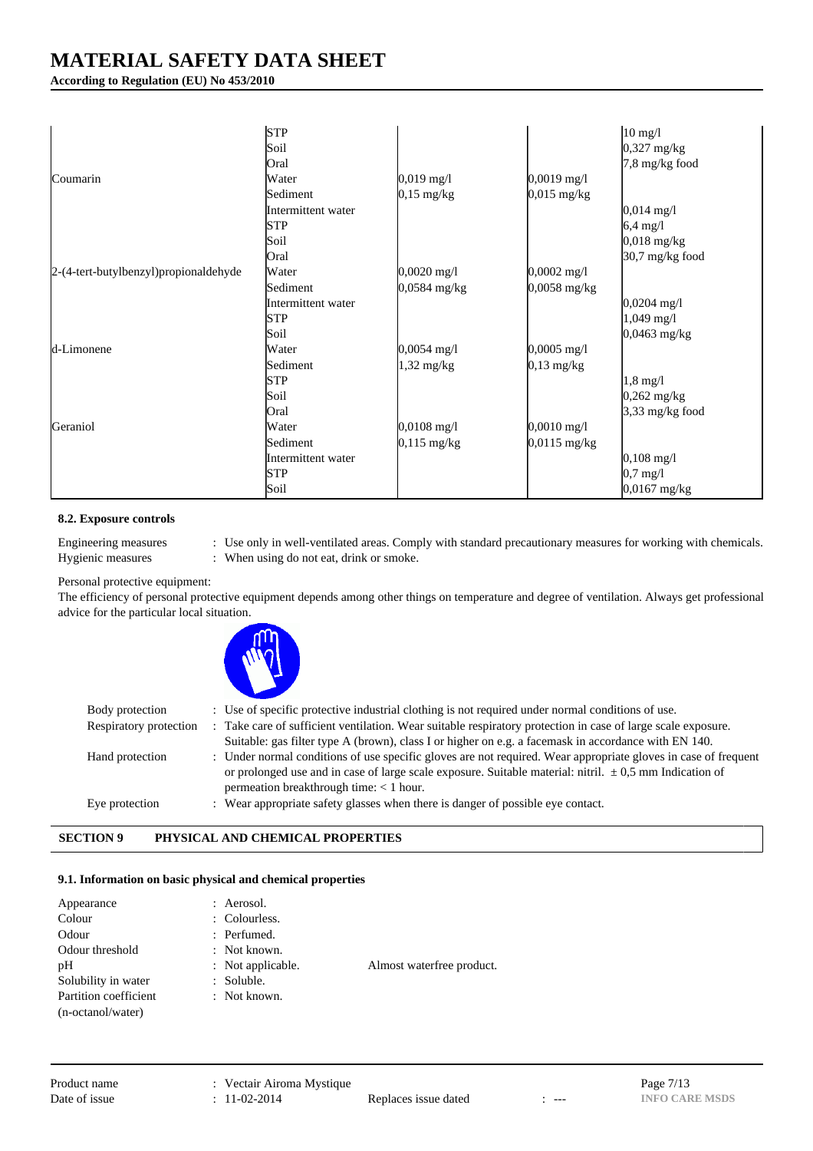**According to Regulation (EU) No 453/2010**

|                                       | <b>STP</b>         |                       |                       |                       |
|---------------------------------------|--------------------|-----------------------|-----------------------|-----------------------|
|                                       | Soil               |                       |                       | $10$ mg/l             |
|                                       |                    |                       |                       | $0,327$ mg/kg         |
|                                       | Oral               |                       |                       | 7,8 mg/kg food        |
| Coumarin                              | Water              | $0,019$ mg/l          | $0,0019$ mg/l         |                       |
|                                       | Sediment           | $0,15 \text{ mg/kg}$  | $0,015$ mg/kg         |                       |
|                                       | Intermittent water |                       |                       | $0,014 \text{ mg}/1$  |
|                                       | <b>STP</b>         |                       |                       | $6,4$ mg/l            |
|                                       | Soil               |                       |                       | $0,018$ mg/kg         |
|                                       | Oral               |                       |                       | 30,7 mg/kg food       |
| 2-(4-tert-butylbenzyl)propionaldehyde | Water              | $0,0020$ mg/l         | $0,0002 \text{ mg/l}$ |                       |
|                                       | Sediment           | 0,0584 mg/kg          | 0,0058 mg/kg          |                       |
|                                       | Intermittent water |                       |                       | $0,0204 \text{ mg}/1$ |
|                                       | <b>STP</b>         |                       |                       | $1,049$ mg/l          |
|                                       | Soil               |                       |                       | $0,0463$ mg/kg        |
| d-Limonene                            | Water              | $0,0054 \text{ mg}/1$ | $0,0005$ mg/l         |                       |
|                                       | Sediment           | $1,32$ mg/kg          | $0,13$ mg/kg          |                       |
|                                       | <b>STP</b>         |                       |                       | $1,8$ mg/l            |
|                                       | Soil               |                       |                       | $0,262$ mg/kg         |
|                                       | Oral               |                       |                       | 3,33 mg/kg food       |
| Geraniol                              | Water              | $0,0108 \text{ mg}/1$ | $0,0010 \text{ mg/l}$ |                       |
|                                       | Sediment           | $0,115$ mg/kg         | $0,0115$ mg/kg        |                       |
|                                       | Intermittent water |                       |                       | $0,108 \text{ mg}/1$  |
|                                       | <b>STP</b>         |                       |                       | $0.7$ mg/l            |
|                                       | Soil               |                       |                       | $0,0167$ mg/kg        |

## **8.2. Exposure controls**

Engineering measures : Use only in well-ventilated areas. Comply with standard precautionary measures for working with chemicals. Hygienic measures : When using do not eat, drink or smoke.

Personal protective equipment:

The efficiency of personal protective equipment depends among other things on temperature and degree of ventilation. Always get professional advice for the particular local situation.



| Body protection        | : Use of specific protective industrial clothing is not required under normal conditions of use.               |
|------------------------|----------------------------------------------------------------------------------------------------------------|
| Respiratory protection | : Take care of sufficient ventilation. Wear suitable respiratory protection in case of large scale exposure.   |
|                        | Suitable: gas filter type A (brown), class I or higher on e.g. a facemask in accordance with EN 140.           |
| Hand protection        | : Under normal conditions of use specific gloves are not required. Wear appropriate gloves in case of frequent |
|                        | or prolonged use and in case of large scale exposure. Suitable material: nitril. $\pm 0.5$ mm Indication of    |
|                        | permeation breakthrough time: $<$ 1 hour.                                                                      |
| Eve protection         | : Wear appropriate safety glasses when there is danger of possible eye contact.                                |
|                        |                                                                                                                |

## **SECTION 9 PHYSICAL AND CHEMICAL PROPERTIES**

## **9.1. Information on basic physical and chemical properties**

| Appearance            | : Aerosol.        |                           |
|-----------------------|-------------------|---------------------------|
| Colour                | : Colourless.     |                           |
| Odour                 | : Perfumed.       |                           |
| Odour threshold       | $:$ Not known.    |                           |
| pH                    | : Not applicable. | Almost waterfree product. |
| Solubility in water   | : Soluble.        |                           |
| Partition coefficient | $:$ Not known.    |                           |
| (n-octanol/water)     |                   |                           |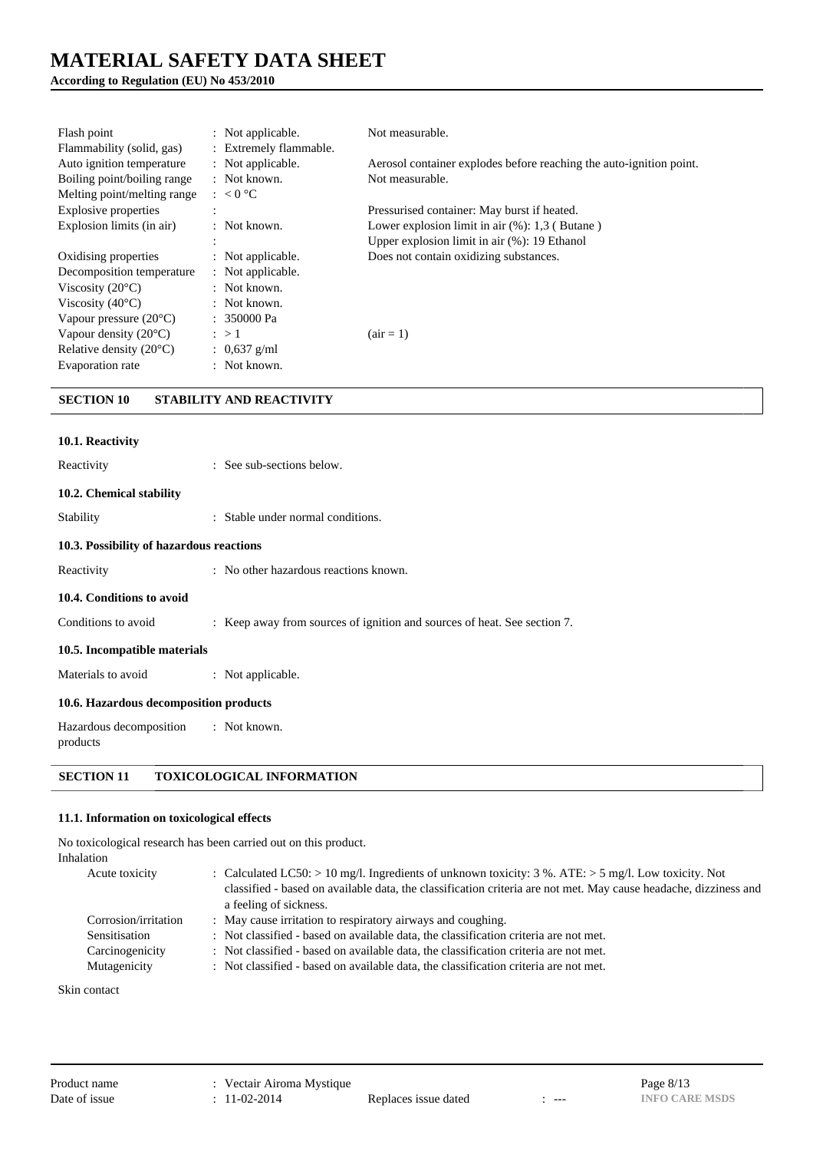## **According to Regulation (EU) No 453/2010**

| Flash point<br>Flammability (solid, gas) | : Not applicable.<br>: Extremely flammable. | Not measurable.                                                     |
|------------------------------------------|---------------------------------------------|---------------------------------------------------------------------|
| Auto ignition temperature                | : Not applicable.                           | Aerosol container explodes before reaching the auto-ignition point. |
| Boiling point/boiling range              | $:$ Not known.                              | Not measurable.                                                     |
| Melting point/melting range              | $: < 0$ °C                                  |                                                                     |
| Explosive properties                     | $\overline{a}$                              | Pressurised container: May burst if heated.                         |
| Explosion limits (in air)                | $:$ Not known.                              | Lower explosion limit in air $(\%)$ : 1,3 (Butane)                  |
|                                          | $\bullet$                                   | Upper explosion limit in air $(\%)$ : 19 Ethanol                    |
| Oxidising properties                     | : Not applicable.                           | Does not contain oxidizing substances.                              |
| Decomposition temperature                | : Not applicable.                           |                                                                     |
| Viscosity $(20^{\circ}C)$                | $\therefore$ Not known.                     |                                                                     |
| Viscosity $(40^{\circ}C)$                | $:$ Not known.                              |                                                                     |
| Vapour pressure $(20^{\circ}C)$          | $: 350000 \text{ Pa}$                       |                                                                     |
| Vapour density $(20^{\circ}C)$           | $\therefore$ > 1                            | $\arctan 1$                                                         |
| Relative density $(20^{\circ}C)$         | : $0.637$ g/ml                              |                                                                     |
| Evaporation rate                         | $:$ Not known.                              |                                                                     |

## **SECTION 10 STABILITY AND REACTIVITY**

| 10.1. Reactivity                         |                                                                          |
|------------------------------------------|--------------------------------------------------------------------------|
| Reactivity                               | : See sub-sections below.                                                |
| 10.2. Chemical stability                 |                                                                          |
| Stability                                | : Stable under normal conditions.                                        |
| 10.3. Possibility of hazardous reactions |                                                                          |
| Reactivity                               | : No other hazardous reactions known.                                    |
| 10.4. Conditions to avoid                |                                                                          |
| Conditions to avoid                      | : Keep away from sources of ignition and sources of heat. See section 7. |
| 10.5. Incompatible materials             |                                                                          |
| Materials to avoid                       | : Not applicable.                                                        |
| 10.6. Hazardous decomposition products   |                                                                          |
| Hazardous decomposition<br>products      | : Not known.                                                             |

## **SECTION 11 TOXICOLOGICAL INFORMATION**

### **11.1. Information on toxicological effects**

No toxicological research has been carried out on this product. Inhalation

| Acute toxicity       | : Calculated LC50: $> 10$ mg/l. Ingredients of unknown toxicity: 3 %. ATE: $> 5$ mg/l. Low toxicity. Not<br>classified - based on available data, the classification criteria are not met. May cause headache, dizziness and<br>a feeling of sickness. |
|----------------------|--------------------------------------------------------------------------------------------------------------------------------------------------------------------------------------------------------------------------------------------------------|
| Corrosion/irritation | : May cause irritation to respiratory airways and coughing.                                                                                                                                                                                            |
| Sensitisation        | : Not classified - based on available data, the classification criteria are not met.                                                                                                                                                                   |
| Carcinogenicity      | : Not classified - based on available data, the classification criteria are not met.                                                                                                                                                                   |
| Mutagenicity         | : Not classified - based on available data, the classification criteria are not met.                                                                                                                                                                   |

Skin contact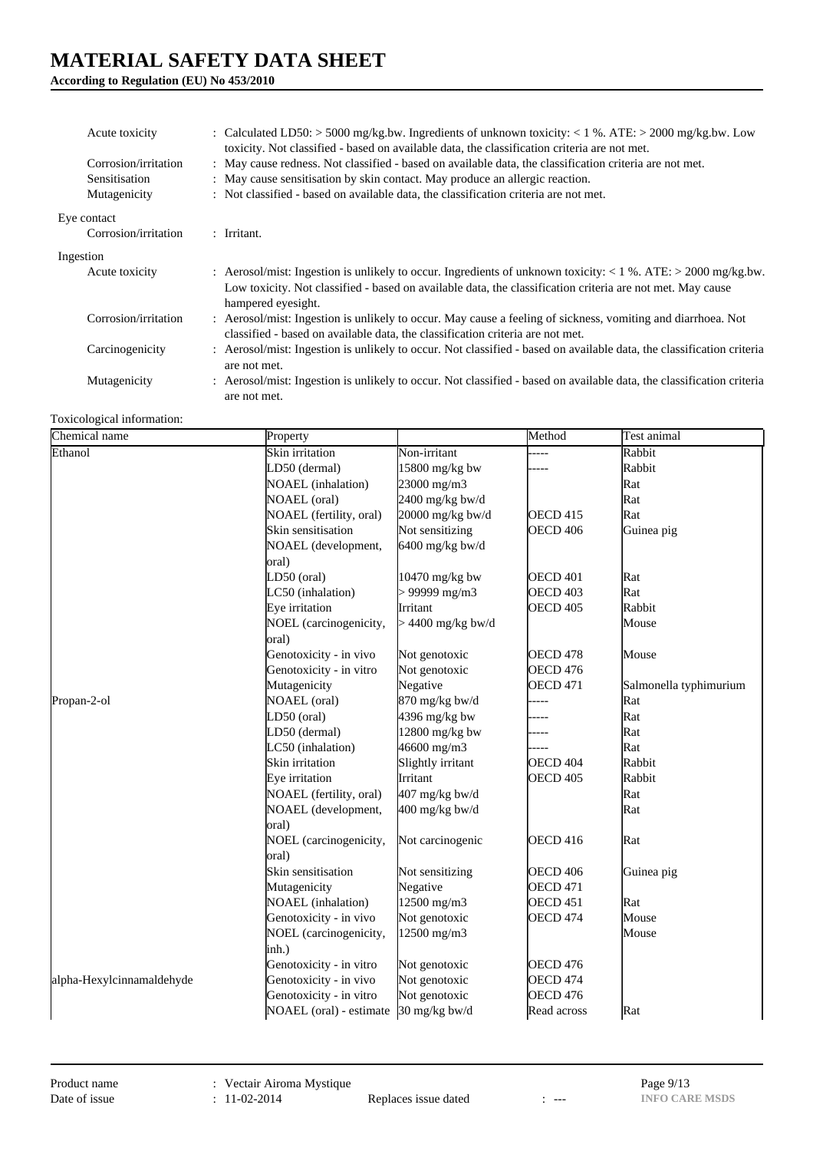## **According to Regulation (EU) No 453/2010**

| Acute toxicity       | : Calculated LD50: > 5000 mg/kg.bw. Ingredients of unknown toxicity: < 1 %. ATE: > 2000 mg/kg.bw. Low<br>toxicity. Not classified - based on available data, the classification criteria are not met.                                                  |
|----------------------|--------------------------------------------------------------------------------------------------------------------------------------------------------------------------------------------------------------------------------------------------------|
| Corrosion/irritation | : May cause redness. Not classified - based on available data, the classification criteria are not met.                                                                                                                                                |
| Sensitisation        | : May cause sensitisation by skin contact. May produce an allergic reaction.                                                                                                                                                                           |
| Mutagenicity         | : Not classified - based on available data, the classification criteria are not met.                                                                                                                                                                   |
| Eye contact          |                                                                                                                                                                                                                                                        |
| Corrosion/irritation | $:$ Irritant.                                                                                                                                                                                                                                          |
| Ingestion            |                                                                                                                                                                                                                                                        |
| Acute toxicity       | : Aerosol/mist: Ingestion is unlikely to occur. Ingredients of unknown toxicity: $< 1\%$ . ATE: $> 2000$ mg/kg.bw.<br>Low toxicity. Not classified - based on available data, the classification criteria are not met. May cause<br>hampered eyesight. |
| Corrosion/irritation | : Aerosol/mist: Ingestion is unlikely to occur. May cause a feeling of sickness, vomiting and diarrhoea. Not<br>classified - based on available data, the classification criteria are not met.                                                         |
| Carcinogenicity      | : Aerosol/mist: Ingestion is unlikely to occur. Not classified - based on available data, the classification criteria<br>are not met.                                                                                                                  |
| Mutagenicity         | : Aerosol/mist: Ingestion is unlikely to occur. Not classified - based on available data, the classification criteria<br>are not met.                                                                                                                  |

Toxicological information:

| Chemical name             | Property                              |                     | Method              | <b>Test animal</b>     |
|---------------------------|---------------------------------------|---------------------|---------------------|------------------------|
| Ethanol                   | Skin irritation                       | Non-irritant        |                     | Rabbit                 |
|                           | LD50 (dermal)                         | 15800 mg/kg bw      |                     | Rabbit                 |
|                           | <b>NOAEL</b> (inhalation)             | 23000 mg/m3         |                     | Rat                    |
|                           | <b>NOAEL</b> (oral)                   | $2400$ mg/kg bw/d   |                     | Rat                    |
|                           | NOAEL (fertility, oral)               | 20000 mg/kg bw/d    | <b>OECD 415</b>     | Rat                    |
|                           | Skin sensitisation                    | Not sensitizing     | OECD 406            | Guinea pig             |
|                           | NOAEL (development,                   | $6400$ mg/kg bw/d   |                     |                        |
|                           | oral)                                 |                     |                     |                        |
|                           | LD50 (oral)                           | 10470 mg/kg bw      | <b>OECD 401</b>     | Rat                    |
|                           | LC50 (inhalation)                     | $> 99999$ mg/m3     | <b>OECD 403</b>     | Rat                    |
|                           | Eye irritation                        | Irritant            | <b>OECD 405</b>     | Rabbit                 |
|                           | NOEL (carcinogenicity,                | $> 4400$ mg/kg bw/d |                     | Mouse                  |
|                           | oral)                                 |                     |                     |                        |
|                           | Genotoxicity - in vivo                | Not genotoxic       | OECD <sub>478</sub> | Mouse                  |
|                           | Genotoxicity - in vitro               | Not genotoxic       | <b>OECD 476</b>     |                        |
|                           | Mutagenicity                          | Negative            | <b>OECD 471</b>     | Salmonella typhimurium |
| Propan-2-ol               | <b>NOAEL</b> (oral)                   | 870 mg/kg bw/d      | -----               | Rat                    |
|                           | LD50 (oral)                           | $4396$ mg/kg bw     |                     | Rat                    |
|                           | LD50 (dermal)                         | $12800$ mg/kg bw    |                     | Rat                    |
|                           | LC50 (inhalation)                     | 46600 mg/m3         |                     | Rat                    |
|                           | Skin irritation                       | Slightly irritant   | OECD 404            | Rabbit                 |
|                           | Eye irritation                        | Irritant            | OECD <sub>405</sub> | Rabbit                 |
|                           | NOAEL (fertility, oral)               | 407 mg/kg bw/d      |                     | Rat                    |
|                           | NOAEL (development,                   | 400 mg/kg bw/d      |                     | Rat                    |
|                           | oral)                                 |                     |                     |                        |
|                           | NOEL (carcinogenicity,                | Not carcinogenic    | <b>OECD 416</b>     | Rat                    |
|                           | oral)                                 |                     |                     |                        |
|                           | Skin sensitisation                    | Not sensitizing     | <b>OECD 406</b>     | Guinea pig             |
|                           | Mutagenicity                          | Negative            | <b>OECD 471</b>     |                        |
|                           | NOAEL (inhalation)                    | 12500 mg/m3         | OECD <sub>451</sub> | Rat                    |
|                           | Genotoxicity - in vivo                | Not genotoxic       | <b>OECD 474</b>     | Mouse                  |
|                           | NOEL (carcinogenicity,                | 12500 mg/m3         |                     | Mouse                  |
|                           | inh.)                                 |                     |                     |                        |
|                           | Genotoxicity - in vitro               | Not genotoxic       | <b>OECD 476</b>     |                        |
| alpha-Hexylcinnamaldehyde | Genotoxicity - in vivo                | Not genotoxic       | OECD <sub>474</sub> |                        |
|                           | Genotoxicity - in vitro               | Not genotoxic       | OECD <sub>476</sub> |                        |
|                           | NOAEL (oral) - estimate 30 mg/kg bw/d |                     | Read across         | Rat                    |

Replaces issue dated : ---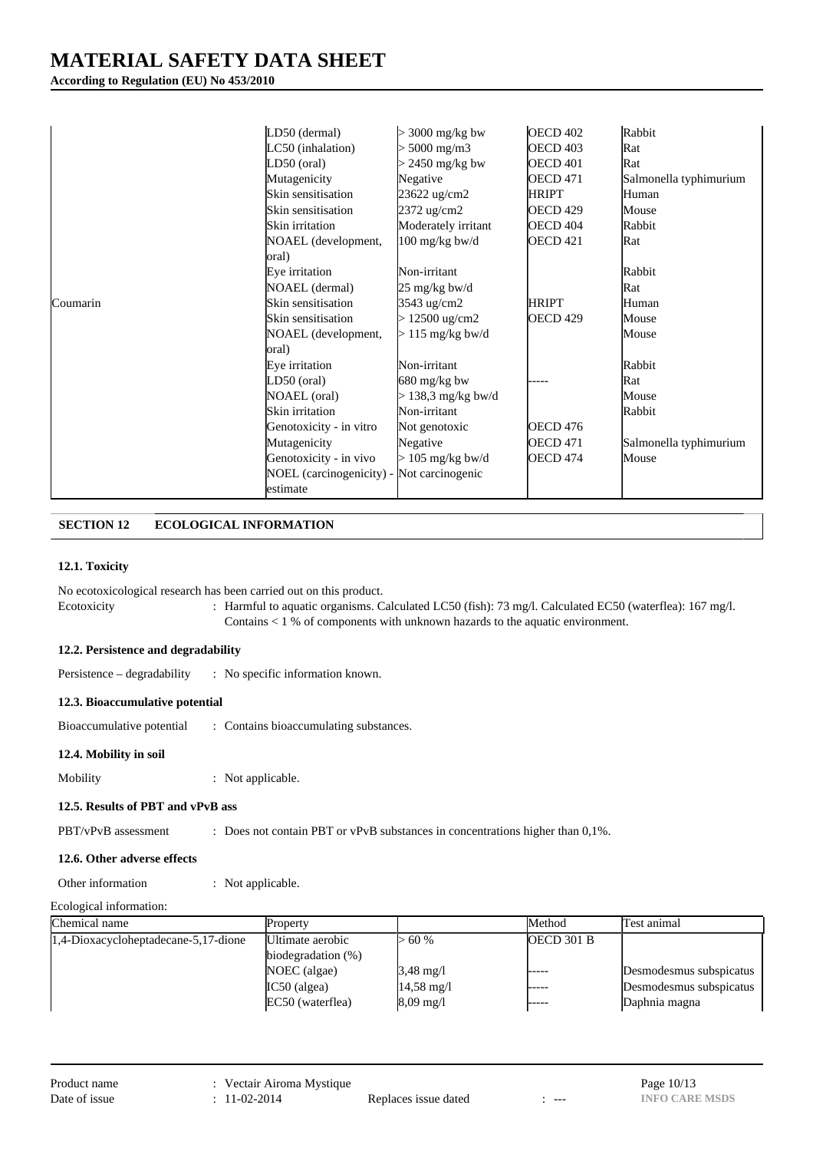**According to Regulation (EU) No 453/2010**

| Coumarin | LD50 (dermal)<br>LC50 (inhalation)<br>LD50 (oral)<br>Mutagenicity<br>Skin sensitisation<br>Skin sensitisation<br>Skin irritation<br>NOAEL (development,<br>oral)<br>Eye irritation<br>NOAEL (dermal)<br>Skin sensitisation<br>Skin sensitisation<br>NOAEL (development,<br>oral)<br>Eye irritation<br>LD50 (oral)<br>NOAEL (oral)<br>Skin irritation | $>$ 3000 mg/kg bw<br>$5000$ mg/m $3$<br>$> 2450$ mg/kg bw<br>Negative<br>23622 ug/cm2<br>2372 ug/cm2<br>Moderately irritant<br>$100 \text{ mg/kg}$ bw/d<br>Non-irritant<br>25 mg/kg bw/d<br>3543 ug/cm2<br>$> 12500 \text{ ug/cm2}$<br>$> 115$ mg/kg bw/d<br>Non-irritant<br>$680 \text{ mg/kg}$ bw<br>$>$ 138,3 mg/kg bw/d<br>Non-irritant | <b>OECD 402</b><br><b>OECD 403</b><br><b>OECD 401</b><br><b>OECD 471</b><br>HRIPT<br><b>OECD 429</b><br><b>OECD 404</b><br><b>OECD 421</b><br><b>HRIPT</b><br>OECD <sub>429</sub> | Rabbit<br>Rat<br>Rat<br>Salmonella typhimurium<br>Human<br>Mouse<br>Rabbit<br>Rat<br>Rabbit<br>Rat<br>Human<br>Mouse<br>Mouse<br>Rabbit<br>Rat<br>Mouse<br>Rabbit |
|----------|------------------------------------------------------------------------------------------------------------------------------------------------------------------------------------------------------------------------------------------------------------------------------------------------------------------------------------------------------|---------------------------------------------------------------------------------------------------------------------------------------------------------------------------------------------------------------------------------------------------------------------------------------------------------------------------------------------|-----------------------------------------------------------------------------------------------------------------------------------------------------------------------------------|-------------------------------------------------------------------------------------------------------------------------------------------------------------------|
|          | Genotoxicity - in vitro                                                                                                                                                                                                                                                                                                                              | Not genotoxic                                                                                                                                                                                                                                                                                                                               | <b>OECD 476</b>                                                                                                                                                                   |                                                                                                                                                                   |
|          | Mutagenicity                                                                                                                                                                                                                                                                                                                                         | Negative                                                                                                                                                                                                                                                                                                                                    | OECD 471                                                                                                                                                                          | Salmonella typhimurium                                                                                                                                            |
|          | Genotoxicity - in vivo                                                                                                                                                                                                                                                                                                                               | $> 105$ mg/kg bw/d                                                                                                                                                                                                                                                                                                                          | OECD 474                                                                                                                                                                          | Mouse                                                                                                                                                             |
|          | NOEL (carcinogenicity) - Not carcinogenic<br>estimate                                                                                                                                                                                                                                                                                                |                                                                                                                                                                                                                                                                                                                                             |                                                                                                                                                                                   |                                                                                                                                                                   |

## **SECTION 12 ECOLOGICAL INFORMATION**

#### **12.1. Toxicity**

No ecotoxicological research has been carried out on this product.

Ecotoxicity : Harmful to aquatic organisms. Calculated LC50 (fish): 73 mg/l. Calculated EC50 (waterflea): 167 mg/l. Contains < 1 % of components with unknown hazards to the aquatic environment.

### **12.2. Persistence and degradability**

Persistence – degradability : No specific information known.

#### **12.3. Bioaccumulative potential**

Bioaccumulative potential : Contains bioaccumulating substances.

**12.4. Mobility in soil**

Mobility : Not applicable.

## **12.5. Results of PBT and vPvB ass**

PBT/vPvB assessment : Does not contain PBT or vPvB substances in concentrations higher than 0,1%.

### **12.6. Other adverse effects**

Other information : Not applicable.

```
Ecological information:
```

| Chemical name                        | Property              |                      | Method       | lTest animal            |
|--------------------------------------|-----------------------|----------------------|--------------|-------------------------|
| 1,4-Dioxacycloheptadecane-5,17-dione | Ultimate aerobic      | > 60%                | $OECD$ 301 B |                         |
|                                      | biodegradation $(\%)$ |                      |              |                         |
|                                      | NOEC (algae)          | $3,48 \text{ mg}/1$  | -----        | Desmodesmus subspicatus |
|                                      | $IC50$ (algea)        | $14,58 \text{ mg}/1$ | -----        | Desmodesmus subspicatus |
|                                      | EC50 (waterflea)      | $8,09 \text{ mg}/1$  | -----        | Daphnia magna           |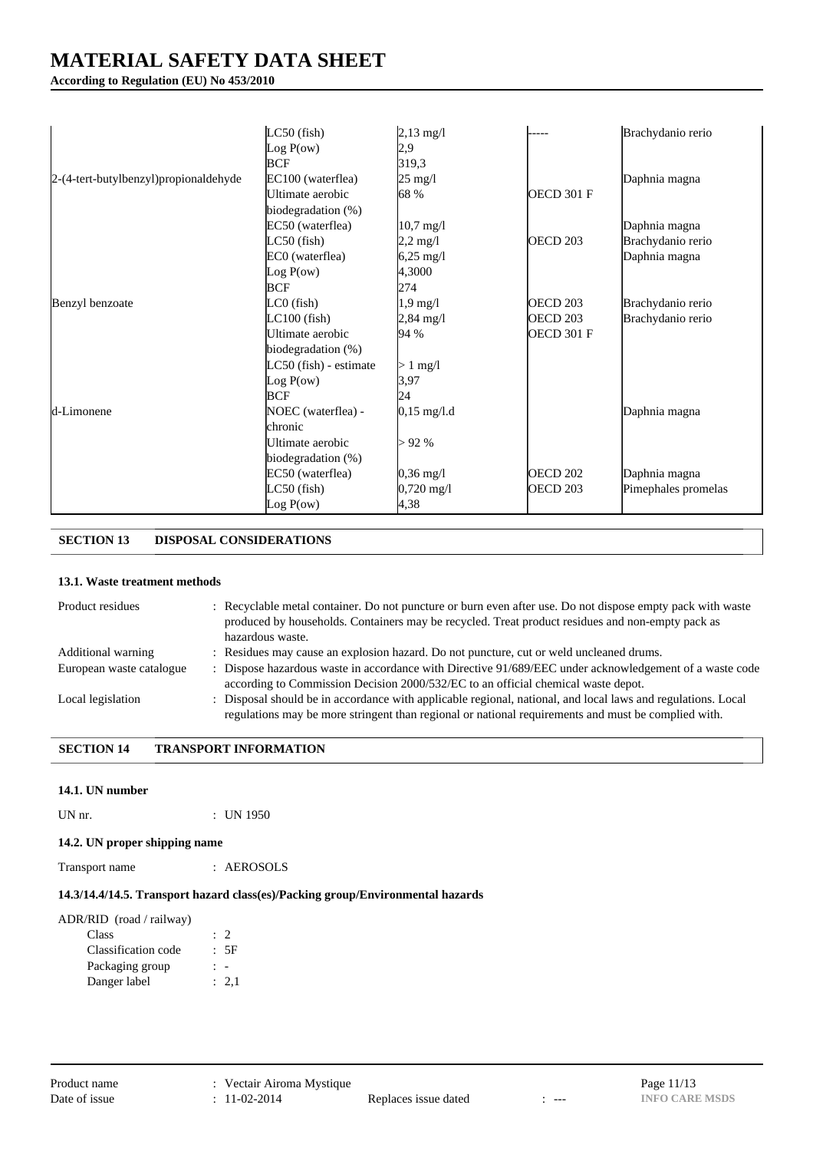## **According to Regulation (EU) No 453/2010**

|                                       | $LC50$ (fish)          | $2,13$ mg/l           |                     | Brachydanio rerio   |
|---------------------------------------|------------------------|-----------------------|---------------------|---------------------|
|                                       | Log $P(ow)$            | 2,9                   |                     |                     |
|                                       | <b>BCF</b>             | 319,3                 |                     |                     |
| 2-(4-tert-butylbenzyl)propionaldehyde | EC100 (waterflea)      | 25 mg/l               |                     | Daphnia magna       |
|                                       | Ultimate aerobic       | 68 %                  | <b>OECD 301 F</b>   |                     |
|                                       | biodegradation (%)     |                       |                     |                     |
|                                       | EC50 (waterflea)       | $10,7 \text{ mg}/1$   |                     | Daphnia magna       |
|                                       | $LC50$ (fish)          | $2,2 \,\mathrm{mg}/l$ | OECD <sub>203</sub> | Brachydanio rerio   |
|                                       | EC0 (waterflea)        | $6,25 \text{ mg}/1$   |                     | Daphnia magna       |
|                                       | Log P(ow)              | 4,3000                |                     |                     |
|                                       | <b>BCF</b>             | 274                   |                     |                     |
| Benzyl benzoate                       | $LCO$ (fish)           | $1,9$ mg/l            | <b>OECD 203</b>     | Brachydanio rerio   |
|                                       | $LC100$ (fish)         | $2,84 \text{ mg}/1$   | <b>OECD 203</b>     | Brachydanio rerio   |
|                                       | Ultimate aerobic       | 94 %                  | <b>OECD 301 F</b>   |                     |
|                                       | biodegradation (%)     |                       |                     |                     |
|                                       | LC50 (fish) - estimate | $> 1$ mg/l            |                     |                     |
|                                       | Log P(ow)              | 3,97                  |                     |                     |
|                                       | <b>BCF</b>             | 24                    |                     |                     |
| d-Limonene                            | NOEC (waterflea) -     | $0,15 \text{ mg}/1.1$ |                     | Daphnia magna       |
|                                       | chronic                |                       |                     |                     |
|                                       | Ultimate aerobic       | >92%                  |                     |                     |
|                                       | biodegradation (%)     |                       |                     |                     |
|                                       | EC50 (waterflea)       | $0,36 \text{ mg}/1$   | <b>OECD 202</b>     | Daphnia magna       |
|                                       | LC50 (fish)            | $0,720$ mg/l          | <b>OECD 203</b>     | Pimephales promelas |
|                                       | Log $P(ow)$            | 4,38                  |                     |                     |

## **SECTION 13 DISPOSAL CONSIDERATIONS**

### **13.1. Waste treatment methods**

| Product residues         | : Recyclable metal container. Do not puncture or burn even after use. Do not dispose empty pack with waste<br>produced by households. Containers may be recycled. Treat product residues and non-empty pack as<br>hazardous waste. |
|--------------------------|------------------------------------------------------------------------------------------------------------------------------------------------------------------------------------------------------------------------------------|
| Additional warning       | : Residues may cause an explosion hazard. Do not puncture, cut or weld uncleaned drums.                                                                                                                                            |
| European waste catalogue | : Dispose hazardous waste in accordance with Directive 91/689/EEC under acknowledgement of a waste code<br>according to Commission Decision 2000/532/EC to an official chemical waste depot.                                       |
| Local legislation        | : Disposal should be in accordance with applicable regional, national, and local laws and regulations. Local<br>regulations may be more stringent than regional or national requirements and must be complied with.                |

### **SECTION 14 TRANSPORT INFORMATION**

#### **14.1. UN number**

UN nr.  $\qquad \qquad$  : UN 1950

## **14.2. UN proper shipping name**

Transport name : AEROSOLS

## **14.3/14.4/14.5. Transport hazard class(es)/Packing group/Environmental hazards**

| ADR/RID (road / railway) |           |
|--------------------------|-----------|
| Class                    | $\cdot$ 2 |
| Classification code      | : 5F      |
| Packaging group          |           |
| Danger label             | : 2.1     |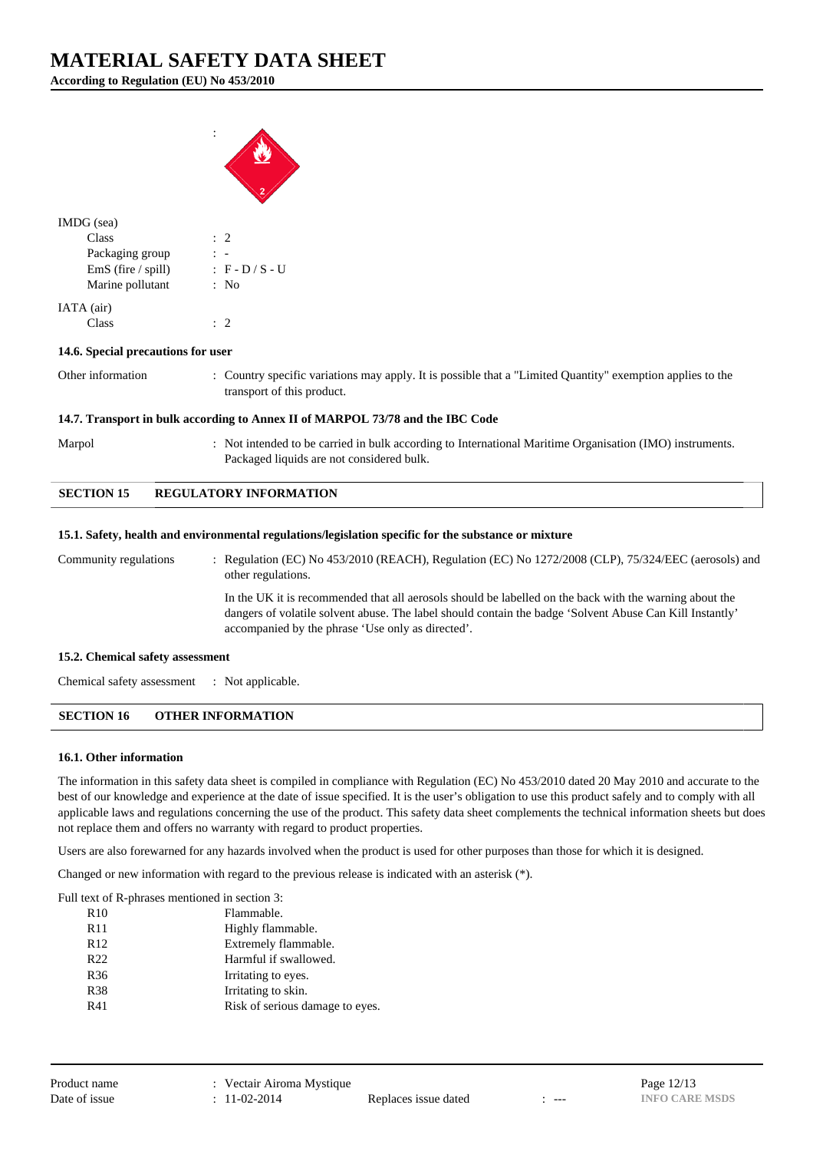**According to Regulation (EU) No 453/2010**



| IMDG (sea)           |                 |
|----------------------|-----------------|
| Class                | $\therefore$ 2  |
| Packaging group      |                 |
| $EmS$ (fire / spill) | : F - D / S - U |
| Marine pollutant     | : No            |
| IATA (air)           |                 |
| Class                |                 |

#### **14.6. Special precautions for user**

Other information : Country specific variations may apply. It is possible that a "Limited Quantity" exemption applies to the transport of this product.

#### **14.7. Transport in bulk according to Annex II of MARPOL 73/78 and the IBC Code**

Marpol : Not intended to be carried in bulk according to International Maritime Organisation (IMO) instruments. Packaged liquids are not considered bulk.

### **SECTION 15 REGULATORY INFORMATION**

#### **15.1. Safety, health and environmental regulations/legislation specific for the substance or mixture**

Community regulations : Regulation (EC) No 453/2010 (REACH), Regulation (EC) No 1272/2008 (CLP), 75/324/EEC (aerosols) and other regulations. In the UK it is recommended that all aerosols should be labelled on the back with the warning about the dangers of volatile solvent abuse. The label should contain the badge 'Solvent Abuse Can Kill Instantly' accompanied by the phrase 'Use only as directed'.

#### **15.2. Chemical safety assessment**

Chemical safety assessment : Not applicable.

## **SECTION 16 OTHER INFORMATION**

#### **16.1. Other information**

The information in this safety data sheet is compiled in compliance with Regulation (EC) No 453/2010 dated 20 May 2010 and accurate to the best of our knowledge and experience at the date of issue specified. It is the user's obligation to use this product safely and to comply with all applicable laws and regulations concerning the use of the product. This safety data sheet complements the technical information sheets but does not replace them and offers no warranty with regard to product properties.

Users are also forewarned for any hazards involved when the product is used for other purposes than those for which it is designed.

Changed or new information with regard to the previous release is indicated with an asterisk (\*).

Full text of R-phrases mentioned in section 3:

| R <sub>10</sub> | Flammable.                      |
|-----------------|---------------------------------|
| <b>R11</b>      | Highly flammable.               |
| R <sub>12</sub> | Extremely flammable.            |
| R <sub>22</sub> | Harmful if swallowed.           |
| R <sub>36</sub> | Irritating to eyes.             |
| <b>R38</b>      | Irritating to skin.             |
| R41             | Risk of serious damage to eyes. |
|                 |                                 |